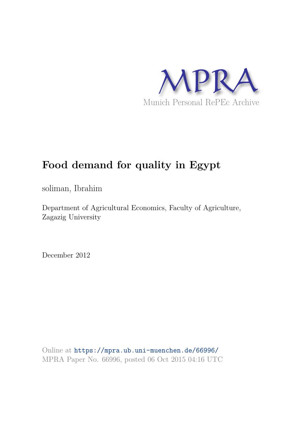

# **Food demand for quality in Egypt**

soliman, Ibrahim

Department of Agricultural Economics, Faculty of Agriculture, Zagazig University

December 2012

Online at https://mpra.ub.uni-muenchen.de/66996/ MPRA Paper No. 66996, posted 06 Oct 2015 04:16 UTC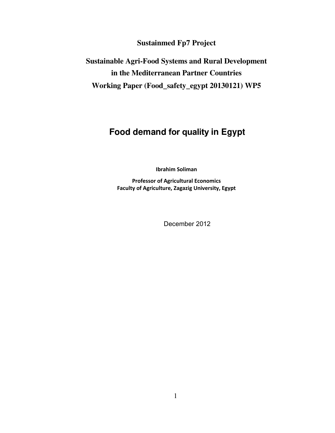**Sustainmed Fp7 Project**

**Sustainable Agri-Food Systems and Rural Development in the Mediterranean Partner Countries Working Paper (Food\_safety\_egypt 20130121) WP5**

## **Food demand for quality in Egypt**

**Ibrahim Soliman** 

**Professor of Agricultural Economics Faculty of Agriculture, Zagazig University, Egypt**

December 2012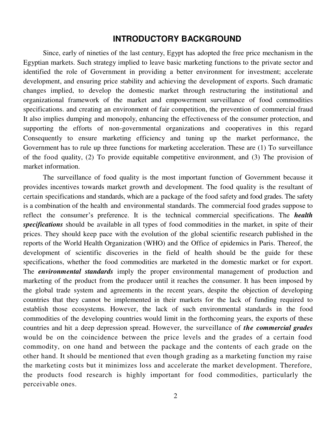### **INTRODUCTORY BACKGROUND**

Since, early of nineties of the last century, Egypt has adopted the free price mechanism in the Egyptian markets. Such strategy implied to leave basic marketing functions to the private sector and identified the role of Government in providing a better environment for investment; accelerate development, and ensuring price stability and achieving the development of exports. Such dramatic changes implied, to develop the domestic market through restructuring the institutional and organizational framework of the market and empowerment surveillance of food commodities specifications. and creating an environment of fair competition, the prevention of commercial fraud It also implies dumping and monopoly, enhancing the effectiveness of the consumer protection, and supporting the efforts of non-governmental organizations and cooperatives in this regard Consequently to ensure marketing efficiency and tuning up the market performance, the Government has to rule up three functions for marketing acceleration. These are (1) To surveillance of the food quality, (2) To provide equitable competitive environment, and (3) The provision of market information.

The surveillance of food quality is the most important function of Government because it provides incentives towards market growth and development. The food quality is the resultant of certain specifications and standards, which are a package of the food safety and food grades. The safety is a combination of the health and environmental standards. The commercial food grades suppose to reflect the consumer's preference. It is the technical commercial specifications. The *health specifications* should be available in all types of food commodities in the market, in spite of their prices. They should keep pace with the evolution of the global scientific research published in the reports of the World Health Organization (WHO) and the Office of epidemics in Paris. Thereof, the development of scientific discoveries in the field of health should be the guide for these specifications, whether the food commodities are marketed in the domestic market or for export. The *environmental standards* imply the proper environmental management of production and marketing of the product from the producer until it reaches the consumer. It has been imposed by the global trade system and agreements in the recent years, despite the objection of developing countries that they cannot be implemented in their markets for the lack of funding required to establish those ecosystems. However, the lack of such environmental standards in the food commodities of the developing countries would limit in the forthcoming years, the exports of these countries and hit a deep depression spread. However, the surveillance of *the commercial grades*  would be on the coincidence between the price levels and the grades of a certain food commodity, on one hand and between the package and the contents of each grade on the other hand. It should be mentioned that even though grading as a marketing function my raise the marketing costs but it minimizes loss and accelerate the market development. Therefore, the products food research is highly important for food commodities, particularly the perceivable ones.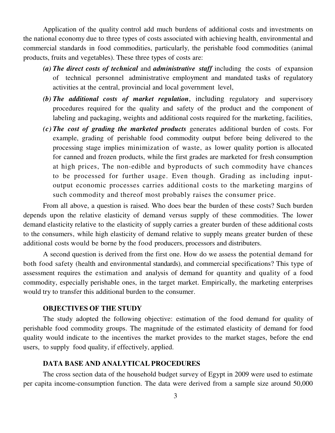Application of the quality control add much burdens of additional costs and investments on the national economy due to three types of costs associated with achieving health, environmental and commercial standards in food commodities, particularly, the perishable food commodities (animal products, fruits and vegetables). These three types of costs are:

- *(a) The direct costs of technical* and *administrative staff* including the costs of expansion of technical personnel administrative employment and mandated tasks of regulatory activities at the central, provincial and local government level,
- *(b) The additional costs of market regulation*, including regulatory and supervisory procedures required for the quality and safety of the product and the component of labeling and packaging, weights and additional costs required for the marketing, facilities,
- *(c) The cost of grading the marketed products* generates additional burden of costs. For example, grading of perishable food commodity output before being delivered to the processing stage implies minimization of waste, as lower quality portion is allocated for canned and frozen products, while the first grades are marketed for fresh consumption at high prices, The non-edible and byproducts of such commodity have chances to be processed for further usage. Even though. Grading as including inputoutput economic processes carries additional costs to the marketing margins of such commodity and thereof most probably raises the consumer price.

From all above, a question is raised. Who does bear the burden of these costs? Such burden depends upon the relative elasticity of demand versus supply of these commodities. The lower demand elasticity relative to the elasticity of supply carries a greater burden of these additional costs to the consumers, while high elasticity of demand relative to supply means greater burden of these additional costs would be borne by the food producers, processors and distributers.

A second question is derived from the first one. How do we assess the potential demand for both food safety (health and environmental standards), and commercial specifications? This type of assessment requires the estimation and analysis of demand for quantity and quality of a food commodity, especially perishable ones, in the target market. Empirically, the marketing enterprises would try to transfer this additional burden to the consumer.

### **OBJECTIVES OF THE STUDY**

The study adopted the following objective: estimation of the food demand for quality of perishable food commodity groups. The magnitude of the estimated elasticity of demand for food quality would indicate to the incentives the market provides to the market stages, before the end users, to supply food quality, if effectively, applied.

### **DATA BASE AND ANALYTICAL PROCEDURES**

The cross section data of the household budget survey of Egypt in 2009 were used to estimate per capita income-consumption function. The data were derived from a sample size around 50,000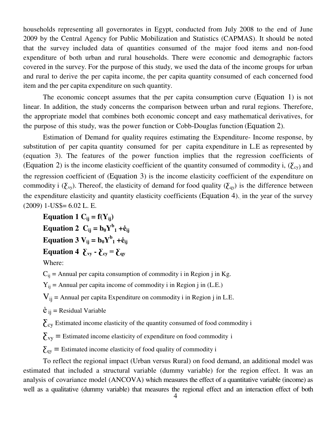households representing all governorates in Egypt, conducted from July 2008 to the end of June 2009 by the Central Agency for Public Mobilization and Statistics (CAPMAS). It should be noted that the survey included data of quantities consumed of the major food items and non-food expenditure of both urban and rural households. There were economic and demographic factors covered in the survey. For the purpose of this study, we used the data of the income groups for urban and rural to derive the per capita income, the per capita quantity consumed of each concerned food item and the per capita expenditure on such quantity.

The economic concept assumes that the per capita consumption curve (Equation 1) is not linear. In addition, the study concerns the comparison between urban and rural regions. Therefore, the appropriate model that combines both economic concept and easy mathematical derivatives, for the purpose of this study, was the power function or Cobb-Douglas function (Equation 2).

Estimation of Demand for quality requires estimating the Expenditure- Income response, by substitution of per capita quantity consumed for per capita expenditure in L.E as represented by (equation 3). The features of the power function implies that the regression coefficients of (Equation 2) is the income elasticity coefficient of the quantity consumed of commodity i,  $(\Sigma_{\rm cv})$  and the regression coefficient of (Equation 3) is the income elasticity coefficient of the expenditure on commodity i ( $\zeta_{\rm vy}$ ). Thereof, the elasticity of demand for food quality ( $\zeta_{\rm qy}$ ) is the difference between the expenditure elasticity and quantity elasticity coefficients (Equation 4), in the year of the survey (2009) 1-US\$= 6.02 L. E.

Equation 1  $C_i$ **j** =  $f(Y_i)$ Equation 2  $C_{ij} = b_0 Y^b_1 + \dot{e}_{ij}$ **Equation 3**  $V_{ij} = b_0 Y^b_1 + \dot{e}_{ij}$ **Equation 4**  $\sum_{\text{vv}}$  **-**  $\sum_{\text{cv}}$  =  $\sum_{\text{qv}}$ 

Where:

 $C_{ij}$  = Annual per capita consumption of commodity i in Region j in Kg.

 $Y_{ij}$  = Annual per capita income of commodity i in Region j in (L.E.)

 $V_{ij}$  = Annual per capita Expenditure on commodity i in Region j in L.E.

 $\dot{e}_{ii}$  = Residual Variable

 $\sum$ <sub>cy</sub> Estimated income elasticity of the quantity consumed of food commodity i

 $\Sigma_{\text{vy}}$  = Estimated income elasticity of expenditure on food commodity i

 $\Sigma_{\text{qv}}$  = Estimated income elasticity of food quality of commodity i

To reflect the regional impact (Urban versus Rural) on food demand, an additional model was estimated that included a structural variable (dummy variable) for the region effect. It was an analysis of covariance model (ANCOVA) which measures the effect of a quantitative variable (income) as well as a qualitative (dummy variable) that measures the regional effect and an interaction effect of both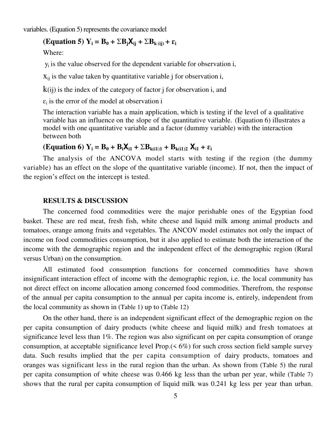variables. (Equation 5) represents the covariance model

## $(\textbf{Equation 5}) \text{ } \text{Y}_i = \textbf{B}_0 + \Sigma \textbf{B}_i \textbf{X}_{i} + \Sigma \textbf{B}_k \text{ (ii)} + \varepsilon_i$

Where:

 $y_i$  is the value observed for the dependent variable for observation i,

 $x_{ij}$  is the value taken by quantitative variable j for observation i,

 $k(ij)$  is the index of the category of factor j for observation i, and

 $\varepsilon_i$  is the error of the model at observation i

The interaction variable has a main application, which is testing if the level of a qualitative variable has an influence on the slope of the quantitative variable. (Equation 6) illustrates a model with one quantitative variable and a factor (dummy variable) with the interaction between both

### $(K_{\text{equation}} 6)$   $Y_i = B_0 + B_i X_{i1} + \Sigma B_{k(i1)1} + B_{k(i1)2} X_{i1} + \varepsilon_i$

The analysis of the ANCOVA model starts with testing if the region (the dummy variable) has an effect on the slope of the quantitative variable (income). If not, then the impact of the region's effect on the intercept is tested.

### **RESULTS & DISCUSSION**

The concerned food commodities were the major perishable ones of the Egyptian food basket. These are red meat, fresh fish, white cheese and liquid milk among animal products and tomatoes, orange among fruits and vegetables. The ANCOV model estimates not only the impact of income on food commodities consumption, but it also applied to estimate both the interaction of the income with the demographic region and the independent effect of the demographic region (Rural versus Urban) on the consumption.

All estimated food consumption functions for concerned commodities have shown insignificant interaction effect of income with the demographic region, i.e. the local community has not direct effect on income allocation among concerned food commodities. Therefrom, the response of the annual per capita consumption to the annual per capita income is, entirely, independent from the local community as shown in (Table 1) up to (Table 12)

On the other hand, there is an independent significant effect of the demographic region on the per capita consumption of dairy products (white cheese and liquid milk) and fresh tomatoes at significance level less than 1%. The region was also significant on per capita consumption of orange consumption, at acceptable significance level Prop.(< 6%) for such cross section field sample survey data. Such results implied that the per capita consumption of dairy products, tomatoes and oranges was significant less in the rural region than the urban. As shown from (Table 5) the rural per capita consumption of white cheese was 0.466 kg less than the urban per year, while (Table 7) shows that the rural per capita consumption of liquid milk was 0.241 kg less per year than urban.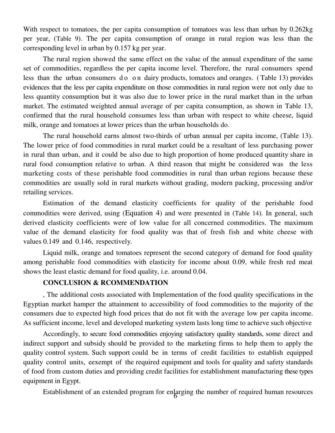With respect to tomatoes, the per capita consumption of tomatoes was less than urban by  $0.262kg$ per year, (Table 9). The per capita consumption of orange in rural region was less than the corresponding level in urban by 0.157 kg per year.

The rural region showed the same effect on the value of the annual expenditure of the same set of commodities, regardless the per capita income level. Therefore, the rural consumers spend less than the urban consumers do on dairy products, tomatoes and oranges. (Table 13) provides evidences that the less per capita expenditure on those commodities in rural region were not only due to less quantity consumption but it was also due to lower price in the rural market than in the urban market. The estimated weighted annual average of per capita consumption, as shown in Table 13, confirmed that the rural household consumes less than urban with respect to white cheese, liquid milk, orange and tomatoes at lower prices than the urban households do.

The rural household earns almost two-thirds of urban annual per capita income, (Table 13). The lower price of food commodities in rural market could be a resultant of less purchasing power in rural than urban, and it could be also due to high proportion of home produced quantity share in rural food consumption relative to urban. A third reason that might be considered was the less marketing costs of these perishable food commodities in rural than urban regions because these commodities are usually sold in rural markets without grading, modern packing, processing and/or retailing services.

Estimation of the demand elasticity coefficients for quality of the perishable food commodities were derived, using (Equation 4) and were presented in (Table 14). In general, such derived elasticity coefficients were of low value for all concerned commodities. The maximum value of the demand elasticity for food quality was that of fresh fish and white cheese with values 0.149 and 0.146, respectively.

Liquid milk, orange and tomatoes represent the second category of demand for food quality among perishable food commodities with elasticity for income about 0.09, while fresh red meat shows the least elastic demand for food quality, i.e. around 0.04.

### **CONCLUSION & RCOMMENDATION**

, The additional costs associated with Implementation of the food quality specifications in the Egyptian market hamper the attainment to accessibility of food commodities to the majority of the consumers due to expected high food prices that do not fit with the average low per capita income. As sufficient income, level and developed marketing system lasts long time to achieve such objective

Accordingly, to secure food commodities enjoying satisfactory quality standards, some direct and indirect support and subsidy should be provided to the marketing firms to help them to apply the quality control system. Such support could be in terms of credit facilities to establish equipped quality control units, eexempt of the required equipment and tools for quality and safety standards of food from custom duties and providing credit facilities for establishment manufacturing these types equipment in Egypt.

Establishment of an extended program for enlarging the number of required human resources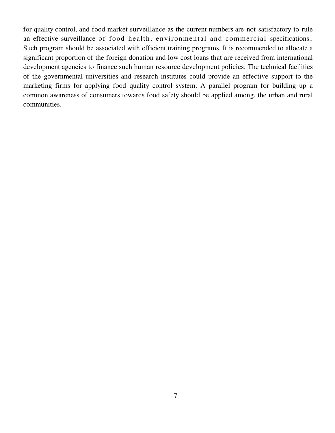for quality control, and food market surveillance as the current numbers are not satisfactory to rule an effective surveillance of food health, environmental and commercial specifications.. Such program should be associated with efficient training programs. It is recommended to allocate a significant proportion of the foreign donation and low cost loans that are received from international development agencies to finance such human resource development policies. The technical facilities of the governmental universities and research institutes could provide an effective support to the marketing firms for applying food quality control system. A parallel program for building up a common awareness of consumers towards food safety should be applied among, the urban and rural communities.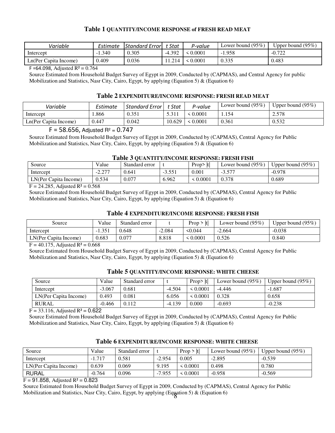### **Table 1 QUANTITY/INCOME RESPONSE of FRESH READ MEAT**

| Variable              | Estimate | Standard Error | Stat     | P-value | Lower bound $(95\%)$ | Upper bound $(95\%)$ |
|-----------------------|----------|----------------|----------|---------|----------------------|----------------------|
| Intercept             | $-1.340$ | 0.305          | $-4.392$ | .0001   | 1.958<br>$\sim$ 1    | $-0.722$             |
| Ln(Per Capita Income) | 409.ر    | 0.036          | !1.214   | 0.0001  | 0.335                | 0.483                |

F = 64.098, Adjusted  $R^2 = 0.764$ 

Source Estimated from Household Budget Survey of Egypt in 2009, Conducted by (CAPMAS), and Central Agency for public Mobilization and Statistics, Nasr City, Cairo, Egypt, by applying (Equation 5) & (Equation 6)

### **Table 2 EXPENDITURE/INCOME RESPONSE: FRESH READ MEAT**

| Variable              | Estimate | <b>Standard Error</b> L | t Stat | P-value | Lower bound $(95\%)$ | Upper bound $(95\%)$ |
|-----------------------|----------|-------------------------|--------|---------|----------------------|----------------------|
| Intercept             | .866     | 0.351                   | 5.311  | 0.0001  | 1.154                | 2.578                |
| Ln(Per Capita Income) | 0.447    | 0.042                   | 10.629 | 0.0001  | 0.361                | 0.532                |

### $F = 58.656$ , Adjusted R<sup>2</sup> =  $0.747$

Source Estimated from Household Budget Survey of Egypt in 2009, Conducted by (CAPMAS), Central Agency for Public Mobilization and Statistics, Nasr City, Cairo, Egypt, by applying (Equation 5) & (Equation 6)

### **Table 3 QUANTITY/INCOME RESPONSE: FRESH FISH**

| Source                | Value        | Standard error |          | Prop<br>-lti | Lower bound $(95\%)$ | Upper bound $(95\%)$ |
|-----------------------|--------------|----------------|----------|--------------|----------------------|----------------------|
| Intercept             | רמ מ<br>2.ZI | 0.641          | $-3.551$ | 0.001        | - 1<br>، ر. ر        | $-0.978$             |
| LN(Per Capita Income) | 0.534        | 0.077          | 6.962    | 0.0001       | 0.378                | 0.689                |

 $F = 24.285$ , Adjusted  $R^2 = 0.568$ 

Source Estimated from Household Budget Survey of Egypt in 2009, Conducted by (CAPMAS), Central Agency for Public Mobilization and Statistics, Nasr City, Cairo, Egypt, by applying (Equation 5) & (Equation 6)

### **Table 4 EXPENDITURE/INCOME RESPONSE: FRESH FISH**

| Source                | Value    | Standard error |          | Prop<br>> Itl | Lower bound $(95\%)$ | Upper bound $(95\%)$ |
|-----------------------|----------|----------------|----------|---------------|----------------------|----------------------|
| Intercept             | $-1.351$ | 0.648          | $-2.084$ | 50.044        | $-2.664$             | $-0.038$             |
| LN(Per Capita Income) | 0.683    | 0.077          | 8.818    | 0.0001        | 0.526                | 0.840                |

 $F = 40.175$ , Adjusted  $R^2 = 0.668$ 

Source Estimated from Household Budget Survey of Egypt in 2009, Conducted by (CAPMAS), Central Agency for Public Mobilization and Statistics, Nasr City, Cairo, Egypt, by applying (Equation 5) & (Equation 6)

# **Table 5 QUANTITY/INCOME RESPONSE: WHITE CHEESE**

| Source                | Value    | Standard error |          | Prop>  t      | Lower bound $(95\%)$ | Upper bound $(95\%)$ |
|-----------------------|----------|----------------|----------|---------------|----------------------|----------------------|
| Intercept             | $-3.067$ | 0.681          | $-4.504$ | $\leq 0.0001$ | $-4.446$             | $-1.687$             |
| LN(Per Capita Income) | 0.493    | 0.081          | 6.056    | $\leq 0.0001$ | 0.328                | 0.658                |
| <b>RURAL</b>          | $-0.466$ | 0.112          | $-4.139$ | 0.000         | $-0.693$             | $-0.238$             |

 $F = 33.116$ , Adjusted R<sup>2</sup> = 0.622

Source Estimated from Household Budget Survey of Egypt in 2009, Conducted by (CAPMAS), Central Agency for Public Mobilization and Statistics, Nasr City, Cairo, Egypt, by applying (Equation 5) & (Equation 6)

| Source                | Value    | Standard error |          | $Proof$ $ t $ | Lower bound $(95\%)$ | Upper bound $(95\%)$ |
|-----------------------|----------|----------------|----------|---------------|----------------------|----------------------|
| Intercept             | $-1.717$ | 0.581          | $-2.954$ | 0.005         | $-2.895$             | $-0.539$             |
| LN(Per Capita Income) | 0.639    | 0.069          | 9.195    | 0.0001        | 0.498                | 0.780                |
| <b>RURAL</b>          | $-0.764$ | 0.096          | $-7.955$ | 0.0001        | $-0.958$             | $-0.569$             |

### **Table 6 EXPENDITURE/INCOME RESPONSE: WHITE CHEESE**

 $F = 91.858$ , Adjusted R<sup>2</sup> = 0.823

8 Mobilization and Statistics, Nasr City, Cairo, Egypt, by applying (Equation 5) & (Equation 6) Source Estimated from Household Budget Survey of Egypt in 2009, Conducted by (CAPMAS), Central Agency for Public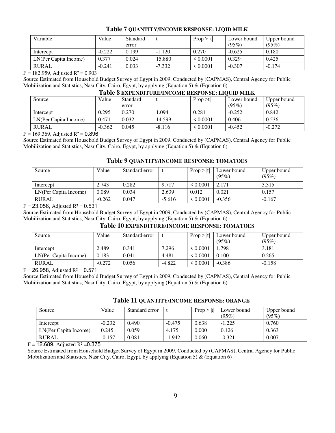### **Table 7 QUANTITY/INCOME RESPONSE: LIQID MILK**

| Variable              | Value    | Standard |          | Prop >  t     | Lower bound | Upper bound |
|-----------------------|----------|----------|----------|---------------|-------------|-------------|
|                       |          | error    |          |               | (95%)       | (95%)       |
| Intercept             | $-0.222$ | 0.199    | $-1.120$ | 0.270         | $-0.625$    | 0.180       |
| LN(Per Capita Income) | 0.377    | 0.024    | 15.880   | $\leq 0.0001$ | 0.329       | 0.425       |
| <b>RURAL</b>          | $-0.241$ | 0.033    | $-7.332$ | $\leq 0.0001$ | $-0.307$    | $-0.174$    |

#### $F = 182.959$ , Adjusted  $R^2 = 0.903$

Source Estimated from Household Budget Survey of Egypt in 2009, Conducted by (CAPMAS), Central Agency for Public Mobilization and Statistics, Nasr City, Cairo, Egypt, by applying (Equation 5) & (Equation 6)

| L'ADIE O EXPENDITURE/INCOME RESPONSE: LIOUID MILR |          |          |          |          |             |             |  |  |
|---------------------------------------------------|----------|----------|----------|----------|-------------|-------------|--|--|
| Source                                            | Value    | Standard |          | Proof    | Lower bound | Upper bound |  |  |
|                                                   |          | error    |          |          | (95%)       | (95%)       |  |  |
| Intercept                                         | 0.295    | 0.270    | .094     | 0.281    | $-0.252$    | 0.842       |  |  |
| LN(Per Capita Income)                             | 0.471    | 0.032    | 14.599   | < 0.0001 | 0.406       | 0.536       |  |  |
| <b>RURAL</b>                                      | $-0.362$ | 0.045    | $-8.116$ | < 0.0001 | $-0.452$    | $-0.272$    |  |  |

### **Table 8 EXPENDITUDE/INCOME DESPONSE: LIQU**

 $F = 169.369$ , Adjusted R<sup>2</sup> = 0.896

Source Estimated from Household Budget Survey of Egypt in 2009, Conducted by (CAPMAS), Central Agency for Public Mobilization and Statistics, Nasr City, Cairo, Egypt, by applying (Equation 5) & (Equation 6)

### **Table 9 QUANTITY/INCOME RESPONSE: TOMATOES**

| Source                | Value    | Standard error |          | $Proof$ $ t $ | Lower bound<br>(95%) | Upper bound<br>(95%) |
|-----------------------|----------|----------------|----------|---------------|----------------------|----------------------|
| Intercept             | 2.743    | 0.282          | 9.717    | $\leq 0.0001$ | 2.171                | 3.315                |
| LN(Per Capita Income) | 0.089    | 0.034          | 2.639    | 0.012         | 0.021                | 0.157                |
| <b>RURAL</b>          | $-0.262$ | 0.047          | $-5.616$ | $\leq 0.0001$ | $-0.356$             | $-0.167$             |

#### $F = 23.056$ , Adjusted R<sup>2</sup> = 0.531

Source Estimated from Household Budget Survey of Egypt in 2009, Conducted by (CAPMAS), Central Agency for Public Mobilization and Statistics, Nasr City, Cairo, Egypt, by applying (Equation 5) & (Equation 6)

### **Table 10 EXPENDITURE/INCOME RESPONSE: TOMATOES**

| Source                | Value    | Standard error |          | Proof  t      | Lower bound | Upper bound |
|-----------------------|----------|----------------|----------|---------------|-------------|-------------|
|                       |          |                |          |               | (95%)       | (95%)       |
| Intercept             | 2.489    | 0.341          | 7.296    | $\leq 0.0001$ | 1.798       | 3.181       |
| LN(Per Capita Income) | 0.183    | 0.041          | 4.481    | $\leq 0.0001$ | 0.100       | 0.265       |
| <b>RURAL</b>          | $-0.272$ | 0.056          | $-4.822$ | $\leq 0.0001$ | $-0.386$    | $-0.158$    |

 $F = 26.958$ , Adjusted  $R^2 = 0.571$ 

Source Estimated from Household Budget Survey of Egypt in 2009, Conducted by (CAPMAS), Central Agency for Public Mobilization and Statistics, Nasr City, Cairo, Egypt, by applying (Equation 5) & (Equation 6)

| Source                | Value    | Standard error |          | Prop $>  t $ | Lower bound | Upper bound |
|-----------------------|----------|----------------|----------|--------------|-------------|-------------|
|                       |          |                |          |              | (95%)       | (95%)       |
| Intercept             | $-0.232$ | 0.490          | $-0.475$ | 0.638        | $-1.225$    | 0.760       |
| LN(Per Capita Income) | 0.245    | 0.059          | 4.175    | 0.000        | 0.126       | 0.363       |

### **Table 11 QUANTITY/INCOME RESPONSE: ORANGE**

 $F = 12.689$ , Adjusted R<sup>2</sup> = 0.375

Source Estimated from Household Budget Survey of Egypt in 2009, Conducted by (CAPMAS), Central Agency for Public Mobilization and Statistics, Nasr City, Cairo, Egypt, by applying (Equation 5) & (Equation 6)

RURAL -0.157 0.081 -1.942 0.060 -0.321 0.007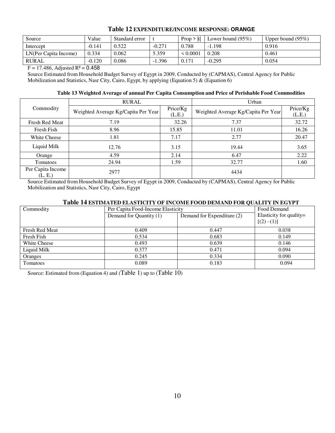| Source                | Value    | Standard error |          | $Proof$ $ t $ | Lower bound $(95\%)$ | Upper bound $(95\%)$ |
|-----------------------|----------|----------------|----------|---------------|----------------------|----------------------|
| Intercept             | $-0.141$ | 0.522          | $-0.271$ | 0.788         | $-1.198$             | 0.916                |
| LN(Per Capita Income) | 0.334    | 0.062          | 5.359    | < 0.0001      | 0.208                | 0.461                |
| <b>RURAL</b>          | $-0.120$ | 0.086          | $-1.396$ | 0.171         | $-0.295$             | 0.054                |

### **Table 12 EXPENDITURE/INCOME RESPONSE: ORANGE**

 $F = 17.486$ , Adjusted R<sup>2</sup> = 0.458

Source Estimated from Household Budget Survey of Egypt in 2009, Conducted by (CAPMAS), Central Agency for Public Mobilization and Statistics, Nasr City, Cairo, Egypt, by applying (Equation 5) & (Equation 6)

### **Table 13 Weighted Average of annual Per Capita Consumption and Price of Perishable Food Commodities**

|                              | <b>RURAL</b>                        |          | Urban                               |          |
|------------------------------|-------------------------------------|----------|-------------------------------------|----------|
| Commodity                    | Weighted Average Kg/Capita Per Year | Price/Kg | Weighted Average Kg/Capita Per Year | Price/Kg |
|                              |                                     | (L.E.)   |                                     | (L.E.)   |
| <b>Fresh Red Meat</b>        | 7.19                                | 32.26    | 7.37                                | 32.72    |
| Fresh Fish                   | 8.96                                | 15.85    | 11.01                               | 16.26    |
| <b>White Cheese</b>          | 1.81                                | 7.17     | 2.77                                | 20.47    |
| Liquid Milk                  | 12.76                               | 3.15     | 19.44                               | 3.65     |
| Orange                       | 4.59                                | 2.14     | 6.47                                | 2.22     |
| Tomatoes                     | 24.94                               | 1.59     | 32.77                               | 1.60     |
| Per Capita Income<br>(L. E.) | 2977                                |          | 4434                                |          |

Source Estimated from Household Budget Survey of Egypt in 2009, Conducted by (CAPMAS), Central Agency for Public Mobilization and Statistics, Nasr City, Cairo, Egypt

### **Table 14 ESTIMATED ELASTICITY OF INCOME FOOD DEMAND FOR QUALITY IN EGYPT**

| Commodity             | Per Capita Food-Income Elasticity |                            | Food Demand                            |  |
|-----------------------|-----------------------------------|----------------------------|----------------------------------------|--|
|                       | Demand for Quantity (1)           | Demand for Expenditure (2) | Elasticity for quality=<br>$[(2)-(1)]$ |  |
| <b>Fresh Red Meat</b> | 0.409                             | 0.447                      | 0.038                                  |  |
| Fresh Fish            | 0.534                             | 0.683                      | 0.149                                  |  |
| <b>White Cheese</b>   | 0.493                             | 0.639                      | 0.146                                  |  |
| Liquid Milk           | 0.377                             | 0.471                      | 0.094                                  |  |
| Oranges               | 0.245                             | 0.334                      | 0.090                                  |  |
| Tomatoes              | 0.089                             | 0.183                      | 0.094                                  |  |

Source: Estimated from (Equation 4) and (Table 1) up to (Table 10)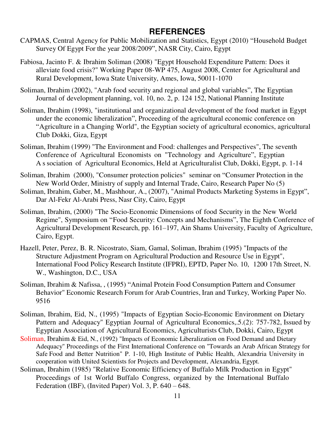## **REFERENCES**

- CAPMAS, Central Agency for Public Mobilization and Statistics, Egypt (2010) "Household Budget Survey Of Egypt For the year 2008/2009", NASR City, Cairo, Egypt
- Fabiosa, Jacinto F. & Ibrahim Soliman (2008) "Egypt Household Expenditure Pattern: Does it alleviate food crisis?" Working Paper 08-WP 475, August 2008, Center for Agricultural and Rural Development, Iowa State University, Ames, Iowa, 50011-1070
- Soliman, Ibrahim (2002), "Arab food security and regional and global variables", The Egyptian Journal of development planning, vol. 10, no. 2, p. 124 152, National Planning Institute
- Soliman, Ibrahim (1998), "institutional and organizational development of the food market in Egypt under the economic liberalization", Proceeding of the agricultural economic conference on "Agriculture in a Changing World", the Egyptian society of agricultural economics, agricultural Club Dokki, Giza, Egypt
- Soliman, Ibrahim (1999) "The Environment and Food: challenges and Perspectives", The seventh Conference of Agricultural Economists on "Technology and Agriculture", Egyptian A s sociation of Agricultural Economics, Held at Agriculturalist Club, Dokki, Egypt, p. 1-14
- Soliman, Ibrahim (2000), "Consumer protection policies" seminar on "Consumer Protection in the New World Order, Ministry of supply and Internal Trade, Cairo, Research Paper No (5)
- Soliman, Ibrahim, Gaber, M., Mashhour, A., (2007), "Animal Products Marketing Systems in Egypt", Dar Al-Fekr Al-Arabi Press, Nasr City, Cairo, Egypt
- Soliman, Ibrahim, (2000) "The Socio-Economic Dimensions of food Security in the New World Regime", Symposium on "Food Security: Concepts and Mechanisms", The Eighth Conference of Agricultural Development Research, pp. 161–197, Ain Shams University, Faculty of Agriculture, Cairo, Egypt.
- Hazell, Peter, Perez, B. R. Nicostrato, Siam, Gamal, Soliman, Ibrahim (1995) "Impacts of the Structure Adjustment Program on Agricultural Production and Resource Use in Egypt", International Food Policy Research Institute (IFPRI), EPTD, Paper No. 10, 1200 17th Street, N. W., Washington, D.C., USA
- Soliman, Ibrahim & Nafissa, , (1995) "Animal Protein Food Consumption Pattern and Consumer Behavior" Economic Research Forum for Arab Countries, Iran and Turkey, Working Paper No. 9516
- Soliman, Ibrahim, Eid, N., (1995) "Impacts of Egyptian Socio-Economic Environment on Dietary Pattern and Adequacy" Egyptian Journal of Agricultural Economics,.5.(2): 757-782, Issued by Egyptian Association of Agricultural Economics, Agriculturists Club, Dokki, Cairo, Egypt
- Soliman, Ibrahim & Eid, N., (1992) "Impacts of Economic Liberalization on Food Demand and Dietary Adequacy" Proceedings of the First International Conference on "Towards an Arab African Strategy for Safe Food and Better Nutrition" P. 1-10, High Institute of Public Health, Alexandria University in cooperation with United Scientists for Projects and Development, Alexandria, Egypt.
- Soliman, Ibrahim (1985) "Relative Economic Efficiency of Buffalo Milk Production in Egypt" Proceedings of 1st World Buffalo Congress, organized by the International Buffalo Federation (IBF), (Invited Paper) Vol. 3, P. 640 – 648.